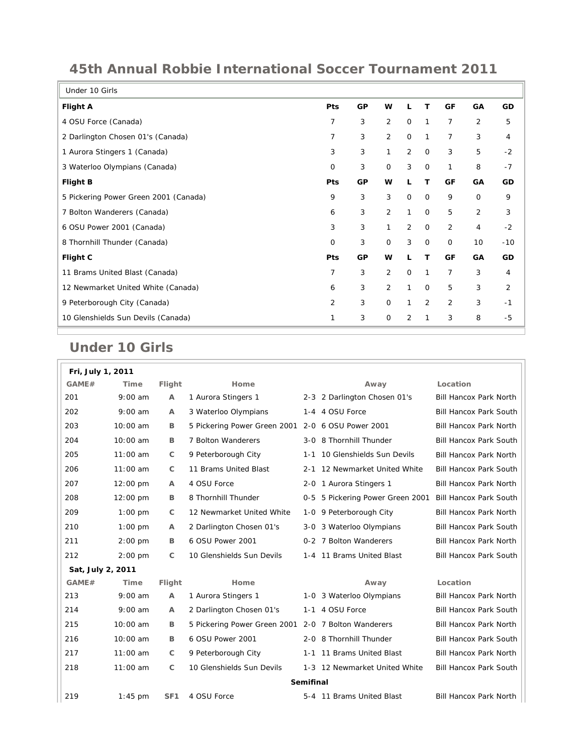| Under 10 Girls                        |                |    |                |              |              |                |                |       |
|---------------------------------------|----------------|----|----------------|--------------|--------------|----------------|----------------|-------|
| Flight A                              | <b>Pts</b>     | GP | W              | L            | т            | GF             | GA             | GD    |
| 4 OSU Force (Canada)                  | $\overline{7}$ | 3  | 2              | $\mathbf 0$  | $\mathbf{1}$ | $\overline{7}$ | 2              | 5     |
| 2 Darlington Chosen 01's (Canada)     | 7              | 3  | $\overline{2}$ | $\mathbf 0$  | $\mathbf{1}$ | 7              | 3              | 4     |
| 1 Aurora Stingers 1 (Canada)          | 3              | 3  | $\mathbf{1}$   | 2            | $\mathbf 0$  | 3              | 5              | $-2$  |
| 3 Waterloo Olympians (Canada)         | 0              | 3  | $\mathbf{O}$   | 3            | $\mathbf 0$  | 1              | 8              | $-7$  |
| <b>Flight B</b>                       | Pts            | GP | w              | L            | T            | GF             | GA             | GD    |
| 5 Pickering Power Green 2001 (Canada) | 9              | 3  | 3              | $\mathbf 0$  | $\mathbf 0$  | 9              | $\mathbf 0$    | 9     |
| 7 Bolton Wanderers (Canada)           | 6              | 3  | $\overline{2}$ | $\mathbf{1}$ | $\mathbf 0$  | 5              | $\overline{2}$ | 3     |
| 6 OSU Power 2001 (Canada)             | 3              | 3  | $\mathbf{1}$   | 2            | $\mathbf 0$  | 2              | 4              | $-2$  |
| 8 Thornhill Thunder (Canada)          | $\mathbf 0$    | 3  | $\mathsf{O}$   | 3            | $\mathbf 0$  | $\mathbf 0$    | 10             | $-10$ |
| Flight C                              | Pts            | GP | W              | L            | т            | GF             | GA             | GD    |
| 11 Brams United Blast (Canada)        | 7              | 3  | $\overline{2}$ | $\mathbf 0$  | 1            | $\overline{7}$ | 3              | 4     |
| 12 Newmarket United White (Canada)    | 6              | 3  | $\overline{2}$ | 1            | $\mathbf 0$  | 5              | 3              | 2     |
| 9 Peterborough City (Canada)          | $\overline{2}$ | 3  | $\mathsf{O}$   | 1            | 2            | $\overline{2}$ | 3              | $-1$  |
| 10 Glenshields Sun Devils (Canada)    | 1              | 3  | $\mathsf{O}$   | 2            | 1            | 3              | 8              | -5    |
|                                       |                |    |                |              |              |                |                |       |

## **45th Annual Robbie International Soccer Tournament 2011**

## **Under 10 Girls**

| Fri, July 1, 2011 |            |                 |                                                     |                  |                               |                               |
|-------------------|------------|-----------------|-----------------------------------------------------|------------------|-------------------------------|-------------------------------|
| GAME#             | Time       | Flight          | Home                                                |                  | Away                          | Location                      |
| 201               | $9:00$ am  | A               | 1 Aurora Stingers 1                                 |                  | 2-3 2 Darlington Chosen 01's  | Bill Hancox Park North        |
| 202               | $9:00$ am  | A               | 3 Waterloo Olympians                                | 1-4              | 4 OSU Force                   | <b>Bill Hancox Park South</b> |
| 203               | 10:00 am   | В               | 5 Pickering Power Green 2001                        |                  | 2-0 6 OSU Power 2001          | Bill Hancox Park North        |
| 204               | 10:00 am   | B               | 7 Bolton Wanderers                                  |                  | 3-0 8 Thornhill Thunder       | Bill Hancox Park South        |
| 205               | $11:00$ am | C               | 9 Peterborough City                                 | $1 - 1$          | 10 Glenshields Sun Devils     | Bill Hancox Park North        |
| 206               | $11:00$ am | $\mathsf{C}$    | 11 Brams United Blast                               | $2 - 1$          | 12 Newmarket United White     | Bill Hancox Park South        |
| 207               | 12:00 pm   | А               | 4 OSU Force                                         |                  | 2-0 1 Aurora Stingers 1       | Bill Hancox Park North        |
| 208               | 12:00 pm   | В               | 8 Thornhill Thunder                                 | 0-5              | 5 Pickering Power Green 2001  | Bill Hancox Park South        |
| 209               | $1:00$ pm  | C               | 12 Newmarket United White                           |                  | 1-0 9 Peterborough City       | Bill Hancox Park North        |
| 210               | $1:00$ pm  | A               | 2 Darlington Chosen 01's                            | 3-0              | 3 Waterloo Olympians          | Bill Hancox Park South        |
| 211               | $2:00$ pm  | B               | 6 OSU Power 2001                                    | $0 - 2$          | 7 Bolton Wanderers            | Bill Hancox Park North        |
| 212               | $2:00$ pm  | С               | 10 Glenshields Sun Devils                           |                  | 1-4 11 Brams United Blast     | Bill Hancox Park South        |
| Sat, July 2, 2011 |            |                 |                                                     |                  |                               |                               |
| GAME#             | Time       | Flight          | Home                                                |                  | Away                          | Location                      |
| 213               | $9:00$ am  | A               | 1 Aurora Stingers 1                                 |                  | 1-0 3 Waterloo Olympians      | Bill Hancox Park North        |
| 214               | $9:00$ am  | A               | 2 Darlington Chosen 01's                            | $1 - 1$          | 4 OSU Force                   | Bill Hancox Park South        |
| 215               | 10:00 am   | B               | 5 Pickering Power Green 2001 2-0 7 Bolton Wanderers |                  |                               | <b>Bill Hancox Park North</b> |
| 216               | 10:00 am   | B               | 6 OSU Power 2001                                    |                  | 2-0 8 Thornhill Thunder       | <b>Bill Hancox Park South</b> |
| 217               | $11:00$ am | C               | 9 Peterborough City                                 |                  | 1-1 11 Brams United Blast     | Bill Hancox Park North        |
| 218               | $11:00$ am | $\mathsf{C}$    | 10 Glenshields Sun Devils                           |                  | 1-3 12 Newmarket United White | Bill Hancox Park South        |
|                   |            |                 |                                                     | <b>Semifinal</b> |                               |                               |
| 219               | $1:45$ pm  | SF <sub>1</sub> | 4 OSU Force                                         |                  | 5-4 11 Brams United Blast     | Bill Hancox Park North        |